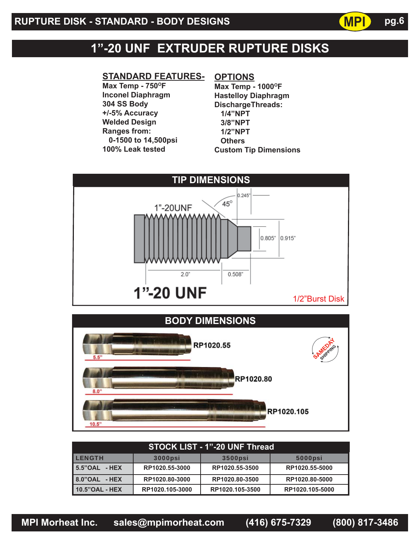## **1"-20 UNF EXTRUDER RUPTURE DISKS**

#### **STANDARD FEATURES-**

Max Temp - 750°F **Inconel Diaphragm 304 SS Body +/-5% Accuracy Welded Design Ranges from: 0-1500 to 14,500psi 100% Leak tested**

### **OPTIONS**

**Max Temp - 1000°F Hastelloy Diaphragm DischargeThreads: 1/4"NPT 3/8"NPT 1/2"NPT Others Custom Tip Dimensions** **MPI**

**pg.6**





| <b>STOCK LIST - 1"-20 UNF Thread</b> |                 |                 |                 |  |
|--------------------------------------|-----------------|-----------------|-----------------|--|
| <b>LENGTH</b>                        | <b>3000psi</b>  | <b>3500psi</b>  | <b>5000psi</b>  |  |
| 5.5"OAL - HEX                        | RP1020.55-3000  | RP1020.55-3500  | RP1020.55-5000  |  |
| 8.0"OAL - HEX                        | RP1020.80-3000  | RP1020.80-3500  | RP1020.80-5000  |  |
| 10.5"OAL - HEX                       | RP1020.105-3000 | RP1020.105-3500 | RP1020.105-5000 |  |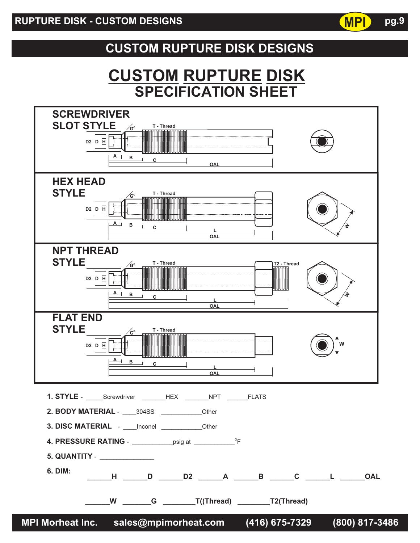## **CUSTOM RUPTURE DISK DESIGNS**

# **SPECIFICATION SHEET CUSTOM RUPTURE DISK**



**pg.9**

**MPI**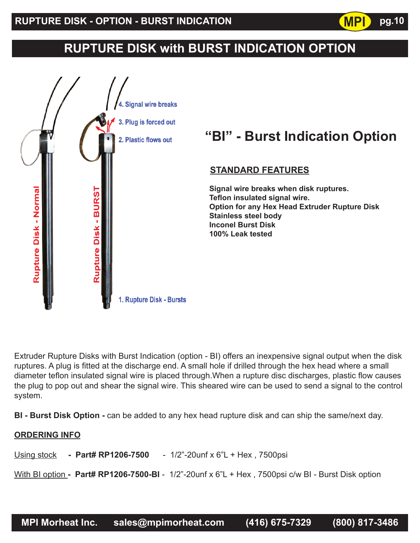## **RUPTURE DISK with BURST INDICATION OPTION**

**MPI**



Extruder Rupture Disks with Burst Indication (option - BI) offers an inexpensive signal output when the disk ruptures. A plug is fitted at the discharge end. A small hole if drilled through the hex head where a small diameter teflon insulated signal wire is placed through. When a rupture disc discharges, plastic flow causes the plug to pop out and shear the signal wire. This sheared wire can be used to send a signal to the control system.

**BI - Burst Disk Option -** can be added to any hex head rupture disk and can ship the same/next day.

#### **ORDERING INFO**

Using stock **- Part# RP1206-7500** - 1/2"-20unf x 6"L + Hex , 7500psi

With BI option **- Part# RP1206-7500-BI** - 1/2"-20unf x 6"L + Hex , 7500psi c/w BI - Burst Disk option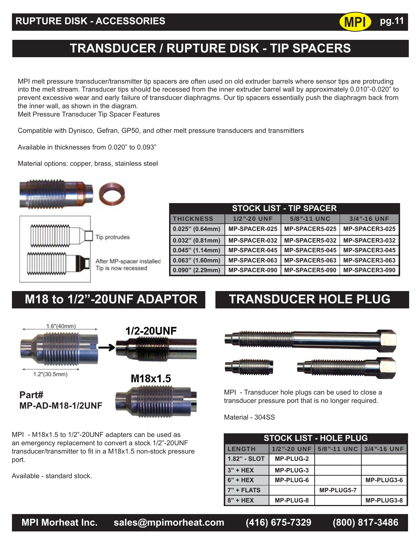

## **TRANSDUCER / RUPTURE DISK - TIP SPACERS**

MPI melt pressure transducer/transmitter tip spacers are often used on old extruder barrels where sensor tips are protruding into the melt stream. Transducer tips should be recessed from the inner extruder barrel wall by approximately 0.010"-0.020" to prevent excessive wear and early failure of transducer diaphragms. Our tip spacers essentially push the diaphragm back from the inner wall, as shown in the diagram.

Melt Pressure Transducer Tip Spacer Features

Compatible with Dynisco, Gefran, GP50, and other melt pressure transducers and transmitters

Available in thicknesses from 0.020" to 0.093"

Material options: copper, brass, stainless steel



| <b>STOCK LIST - TIP SPACER</b> |                      |                       |                |  |
|--------------------------------|----------------------|-----------------------|----------------|--|
| <b>THICKNESS</b>               | <b>1/2"-20 UNF</b>   | 5/8"-11 UNC           | 3/4"-16 UNF    |  |
| $0.025"$ (0.64mm)              | <b>MP-SPACER-025</b> | <b>MP-SPACER5-025</b> | MP-SPACER3-025 |  |
| $0.032"$ (0.81mm)              | <b>MP-SPACER-032</b> | MP-SPACER5-032        | MP-SPACER3-032 |  |
| $0.045"$ (1.14mm)              | <b>MP-SPACER-045</b> | <b>MP-SPACER5-045</b> | MP-SPACER3-045 |  |
| $0.063"$ (1.60mm)              | MP-SPACER-063        | MP-SPACER5-063        | MP-SPACER3-063 |  |
| $0.090"$ (2.29mm)              | <b>MP-SPACER-090</b> | <b>MP-SPACER5-090</b> | MP-SPACER3-090 |  |

## **M18 to 1/2"-20UNF ADAPTOR TRANSDUCER HOLE PLUG**



MPI - M18x1.5 to 1/2"-20UNF adapters can be used as an emergency replacement to convert a stock 1/2"-20UNF transducer/transmitter to fit in a M18x1.5 non-stock pressure port.

Available - standard stock.



MPI - Transducer hole plugs can be used to close a transducer pressure port that is no longer required.

Material - 304SS

| <b>STOCK LIST - HOLE PLUG</b> |                    |                           |            |  |
|-------------------------------|--------------------|---------------------------|------------|--|
| <b>LENGTH</b>                 | <b>1/2"-20 UNF</b> | 5/8"-11 UNC   3/4"-16 UNF |            |  |
| 1.82" - SLOT                  | <b>MP-PLUG-2</b>   |                           |            |  |
| $3" + HEX$                    | MP-PLUG-3          |                           |            |  |
| $6" + HEX$                    | <b>MP-PLUG-6</b>   |                           | MP-PLUG3-6 |  |
| $7" + FLATS$                  |                    | MP-PLUG5-7                |            |  |
| $8" + HEX$                    | <b>MP-PLUG-8</b>   |                           | MP-PLUG3-8 |  |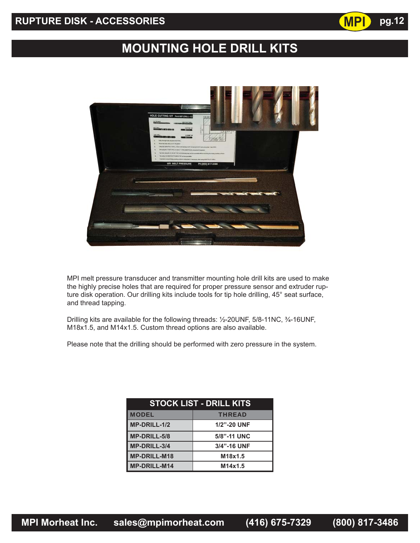## **RUPTURE DISK - ACCESSORIES pg.12**

# **MOUNTING HOLE DRILL KITS**

**MPI**



MPI melt pressure transducer and transmitter mounting hole drill kits are used to make the highly precise holes that are required for proper pressure sensor and extruder rupture disk operation. Our drilling kits include tools for tip hole drilling, 45° seat surface, and thread tapping.

Drilling kits are available for the following threads: ½-20UNF, 5/8-11NC, ¾-16UNF, M18x1.5, and M14x1.5. Custom thread options are also available.

Please note that the drilling should be performed with zero pressure in the system.

| <b>STOCK LIST - DRILL KITS</b> |             |  |
|--------------------------------|-------------|--|
| <b>MODEL</b>                   | THREAD      |  |
| MP-DRILL-1/2                   | 1/2"-20 UNF |  |
| MP-DRILL-5/8                   | 5/8"-11 UNC |  |
| MP-DRILL-3/4                   | 3/4"-16 UNF |  |
| <b>MP-DRILL-M18</b>            | M18x1.5     |  |
| <b>MP-DRILL-M14</b>            | M14x1.5     |  |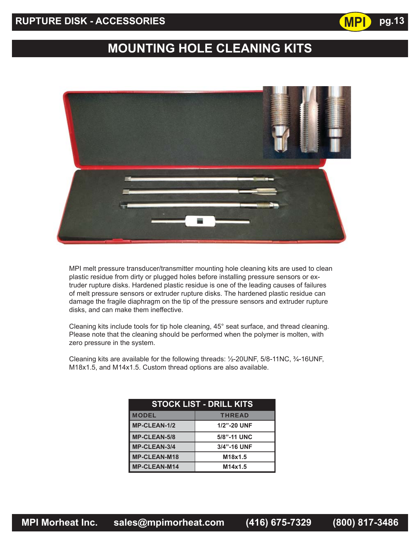## **RUPTURE DISK - ACCESSORIES pg.13**

# **MOUNTING HOLE CLEANING KITS**

**MPI**



MPI melt pressure transducer/transmitter mounting hole cleaning kits are used to clean plastic residue from dirty or plugged holes before installing pressure sensors or extruder rupture disks. Hardened plastic residue is one of the leading causes of failures of melt pressure sensors or extruder rupture disks. The hardened plastic residue can damage the fragile diaphragm on the tip of the pressure sensors and extruder rupture disks, and can make them ineffective.

Cleaning kits include tools for tip hole cleaning, 45° seat surface, and thread cleaning. Please note that the cleaning should be performed when the polymer is molten, with zero pressure in the system.

Cleaning kits are available for the following threads: ½-20UNF, 5/8-11NC, ¾-16UNF, M18x1.5, and M14x1.5. Custom thread options are also available.

| <b>STOCK LIST - DRILL KITS</b> |               |  |
|--------------------------------|---------------|--|
| <b>MODEL</b>                   | <b>THREAD</b> |  |
| <b>MP-CLEAN-1/2</b>            | 1/2"-20 UNF   |  |
| <b>MP-CLEAN-5/8</b>            | 5/8"-11 UNC   |  |
| MP-CLEAN-3/4                   | 3/4"-16 UNF   |  |
| <b>MP-CLEAN-M18</b>            | M18x1.5       |  |
| <b>MP-CLEAN-M14</b>            | M14x1.5       |  |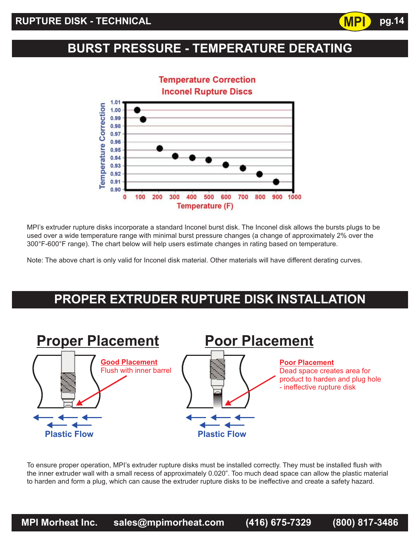## **BURST PRESSURE - TEMPERATURE DERATING**

**MPI**

**pg.14**



MPI's extruder rupture disks incorporate a standard Inconel burst disk. The Inconel disk allows the bursts plugs to be used over a wide temperature range with minimal burst pressure changes (a change of approximately 2% over the 300°F-600°F range). The chart below will help users estimate changes in rating based on temperature.

Note: The above chart is only valid for Inconel disk material. Other materials will have different derating curves.

## **PROPER EXTRUDER RUPTURE DISK INSTALLATION**



To ensure proper operation, MPI's extruder rupture disks must be installed correctly. They must be installed flush with the inner extruder wall with a small recess of approximately 0.020". Too much dead space can allow the plastic material to harden and form a plug, which can cause the extruder rupture disks to be ineffective and create a safety hazard.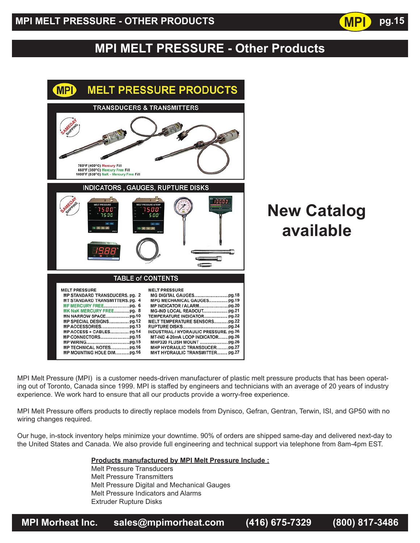## **MPI MELT PRESSURE - Other Products**

| <b>MPI</b><br><b>MELT PRESSURE PRODUCTS</b>                                                                                                                                                                                                                                                                                                                                                                                                                    |
|----------------------------------------------------------------------------------------------------------------------------------------------------------------------------------------------------------------------------------------------------------------------------------------------------------------------------------------------------------------------------------------------------------------------------------------------------------------|
| <b>TRANSDUCERS &amp; TRANSMITTERS</b>                                                                                                                                                                                                                                                                                                                                                                                                                          |
| 750°F (400°C) Mercury Fill<br>660°F (350°C) Mercury Free Fill<br>1000°F (538°C) NaK - Mercury Free Fill                                                                                                                                                                                                                                                                                                                                                        |
| <b>INDICATORS, GAUGES, RUPTURE DISKS</b><br>10000<br>MELT PRESSURE<br><b>IELT PRESSURE &amp; TEM</b><br>15 O O<br>5 O O<br>7 S O O<br>s o o<br>$M$ On<br>AC CAL                                                                                                                                                                                                                                                                                                |
| <b>TABLE of CONTENTS</b>                                                                                                                                                                                                                                                                                                                                                                                                                                       |
| <b>MELT PRESSURE</b><br><b>MELT PRESSURE</b><br>MP STANDARD TRANSDUCERS, pg. 2<br>MT STANDARD TRANSMITTERS.pg. 4<br>MPG MECHANICAL GAUGES pg.19<br>MK NaK MERCURY FREEpg. 8<br>TEMPERATURE INDICATOR pg.22<br><b>MELT TEMPERATURE SENSORSpg.22</b><br>INDUSTRIAL / HYDRAULIC PRESSURE, pg.26<br>MT-IND 4-20mA LOOP INDICATOR pg.26<br>MP TECHNICAL NOTESpg.16<br>MHP HYDRAULIC TRANSDUCERpg.27<br>MP MOUNTING HOLE DIMpg.16<br>MHT HYDRAULIC TRANSMITTER pg.27 |

# **New Catalog available**

**MPI**

**pg.15**

MPI Melt Pressure (MPI) is a customer needs-driven manufacturer of plastic melt pressure products that has been operating out of Toronto, Canada since 1999. MPI is staffed by engineers and technicians with an average of 20 years of industry experience. We work hard to ensure that all our products provide a worry-free experience.

MPI Melt Pressure offers products to directly replace models from Dynisco, Gefran, Gentran, Terwin, ISI, and GP50 with no wiring changes required.

Our huge, in-stock inventory helps minimize your downtime. 90% of orders are shipped same-day and delivered next-day to the United States and Canada. We also provide full engineering and technical support via telephone from 8am-4pm EST.

 **Products manufactured by MPI Melt Pressure Include :**

 Melt Pressure Transducers Melt Pressure Transmitters Melt Pressure Digital and Mechanical Gauges Melt Pressure Indicators and Alarms Extruder Rupture Disks